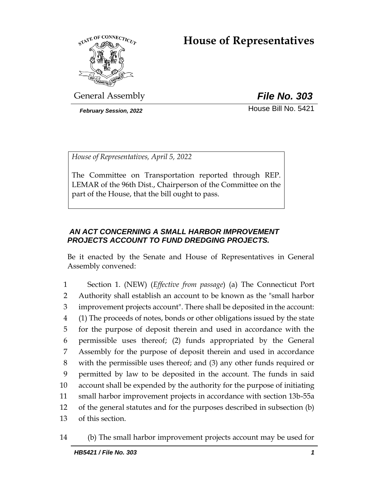# **House of Representatives**



General Assembly *File No. 303*

**February Session, 2022 House Bill No. 5421** 

*House of Representatives, April 5, 2022*

The Committee on Transportation reported through REP. LEMAR of the 96th Dist., Chairperson of the Committee on the part of the House, that the bill ought to pass.

## *AN ACT CONCERNING A SMALL HARBOR IMPROVEMENT PROJECTS ACCOUNT TO FUND DREDGING PROJECTS.*

Be it enacted by the Senate and House of Representatives in General Assembly convened:

 Section 1. (NEW) (*Effective from passage*) (a) The Connecticut Port Authority shall establish an account to be known as the "small harbor improvement projects account". There shall be deposited in the account: (1) The proceeds of notes, bonds or other obligations issued by the state for the purpose of deposit therein and used in accordance with the permissible uses thereof; (2) funds appropriated by the General Assembly for the purpose of deposit therein and used in accordance with the permissible uses thereof; and (3) any other funds required or permitted by law to be deposited in the account. The funds in said account shall be expended by the authority for the purpose of initiating small harbor improvement projects in accordance with section 13b-55a of the general statutes and for the purposes described in subsection (b) of this section.

14 (b) The small harbor improvement projects account may be used for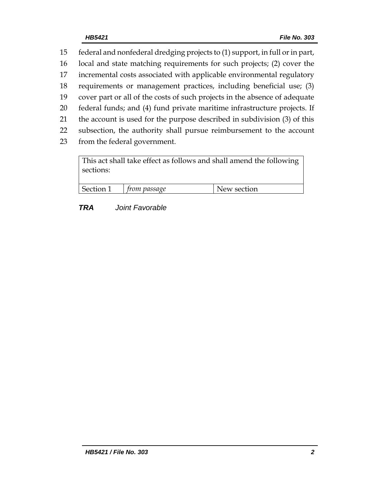federal and nonfederal dredging projects to (1) support, in full or in part, local and state matching requirements for such projects; (2) cover the incremental costs associated with applicable environmental regulatory requirements or management practices, including beneficial use; (3) cover part or all of the costs of such projects in the absence of adequate federal funds; and (4) fund private maritime infrastructure projects. If the account is used for the purpose described in subdivision (3) of this subsection, the authority shall pursue reimbursement to the account from the federal government.

| This act shall take effect as follows and shall amend the following  <br>sections: |                     |             |
|------------------------------------------------------------------------------------|---------------------|-------------|
| Section 1                                                                          | $\mid$ from passage | New section |

## *TRA Joint Favorable*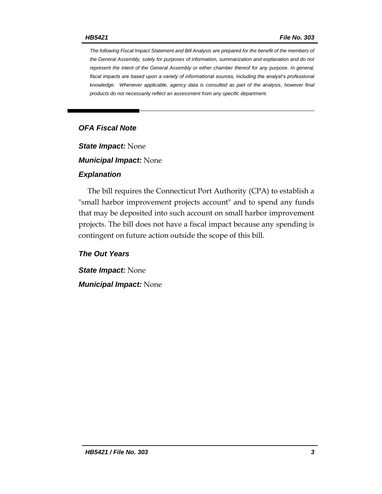*The following Fiscal Impact Statement and Bill Analysis are prepared for the benefit of the members of the General Assembly, solely for purposes of information, summarization and explanation and do not represent the intent of the General Assembly or either chamber thereof for any purpose. In general,*  fiscal impacts are based upon a variety of informational sources, including the analyst's professional *knowledge. Whenever applicable, agency data is consulted as part of the analysis, however final products do not necessarily reflect an assessment from any specific department.*

## *OFA Fiscal Note*

*State Impact:* None

*Municipal Impact:* None

#### *Explanation*

The bill requires the Connecticut Port Authority (CPA) to establish a "small harbor improvement projects account" and to spend any funds that may be deposited into such account on small harbor improvement projects. The bill does not have a fiscal impact because any spending is contingent on future action outside the scope of this bill.

*The Out Years*

*State Impact:* None *Municipal Impact:* None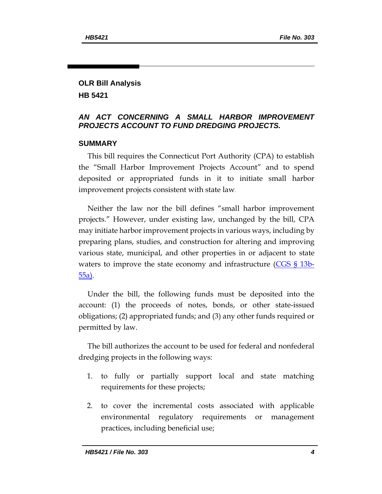## **OLR Bill Analysis HB 5421**

## *AN ACT CONCERNING A SMALL HARBOR IMPROVEMENT PROJECTS ACCOUNT TO FUND DREDGING PROJECTS.*

## **SUMMARY**

This bill requires the Connecticut Port Authority (CPA) to establish the "Small Harbor Improvement Projects Account" and to spend deposited or appropriated funds in it to initiate small harbor improvement projects consistent with state law.

Neither the law nor the bill defines "small harbor improvement projects." However, under existing law, unchanged by the bill, CPA may initiate harbor improvement projects in various ways, including by preparing plans, studies, and construction for altering and improving various state, municipal, and other properties in or adjacent to state waters to improve the state economy and infrastructure  $(CGS \, \S \, 13b$ -[55a\)](https://www.cga.ct.gov/current/pub/chap_242.htm#sec_13b-55a).

Under the bill, the following funds must be deposited into the account: (1) the proceeds of notes, bonds, or other state-issued obligations; (2) appropriated funds; and (3) any other funds required or permitted by law.

The bill authorizes the account to be used for federal and nonfederal dredging projects in the following ways:

- 1. to fully or partially support local and state matching requirements for these projects;
- 2. to cover the incremental costs associated with applicable environmental regulatory requirements or management practices, including beneficial use;